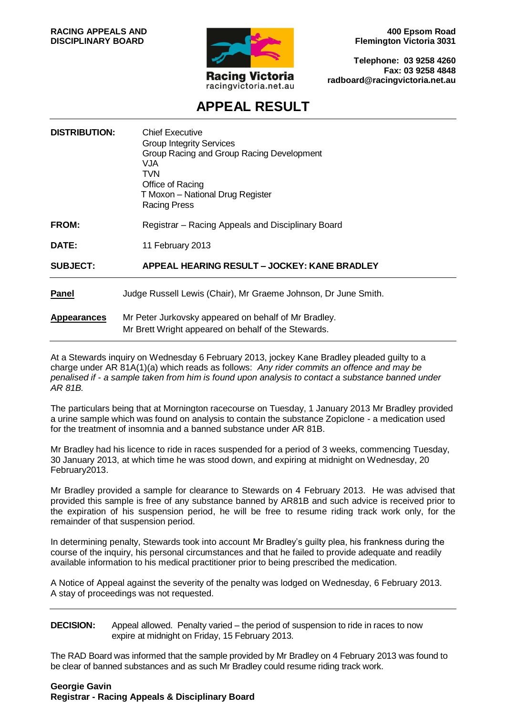

**400 Epsom Road Flemington Victoria 3031**

**Telephone: 03 9258 4260 Fax: 03 9258 4848 radboard@racingvictoria.net.au**

# **APPEAL RESULT**

| <b>DISTRIBUTION:</b> | <b>Chief Executive</b><br><b>Group Integrity Services</b><br>Group Racing and Group Racing Development<br>VJA.<br>TVN<br>Office of Racing<br>T Moxon - National Drug Register<br>Racing Press |
|----------------------|-----------------------------------------------------------------------------------------------------------------------------------------------------------------------------------------------|
| <b>FROM:</b>         | Registrar - Racing Appeals and Disciplinary Board                                                                                                                                             |
| DATE:                | 11 February 2013                                                                                                                                                                              |
| <b>SUBJECT:</b>      | APPEAL HEARING RESULT - JOCKEY: KANE BRADLEY                                                                                                                                                  |
| <b>Panel</b>         | Judge Russell Lewis (Chair), Mr Graeme Johnson, Dr June Smith.                                                                                                                                |
| <b>Appearances</b>   | Mr Peter Jurkovsky appeared on behalf of Mr Bradley.<br>Mr Brett Wright appeared on behalf of the Stewards.                                                                                   |

At a Stewards inquiry on Wednesday 6 February 2013, jockey Kane Bradley pleaded guilty to a charge under AR 81A(1)(a) which reads as follows: *Any rider commits an offence and may be penalised if - a sample taken from him is found upon analysis to contact a substance banned under AR 81B.*

The particulars being that at Mornington racecourse on Tuesday, 1 January 2013 Mr Bradley provided a urine sample which was found on analysis to contain the substance Zopiclone - a medication used for the treatment of insomnia and a banned substance under AR 81B.

Mr Bradley had his licence to ride in races suspended for a period of 3 weeks, commencing Tuesday, 30 January 2013, at which time he was stood down, and expiring at midnight on Wednesday, 20 February2013.

Mr Bradley provided a sample for clearance to Stewards on 4 February 2013. He was advised that provided this sample is free of any substance banned by AR81B and such advice is received prior to the expiration of his suspension period, he will be free to resume riding track work only, for the remainder of that suspension period.

In determining penalty, Stewards took into account Mr Bradley's guilty plea, his frankness during the course of the inquiry, his personal circumstances and that he failed to provide adequate and readily available information to his medical practitioner prior to being prescribed the medication.

A Notice of Appeal against the severity of the penalty was lodged on Wednesday, 6 February 2013. A stay of proceedings was not requested.

**DECISION:** Appeal allowed. Penalty varied – the period of suspension to ride in races to now expire at midnight on Friday, 15 February 2013.

The RAD Board was informed that the sample provided by Mr Bradley on 4 February 2013 was found to be clear of banned substances and as such Mr Bradley could resume riding track work.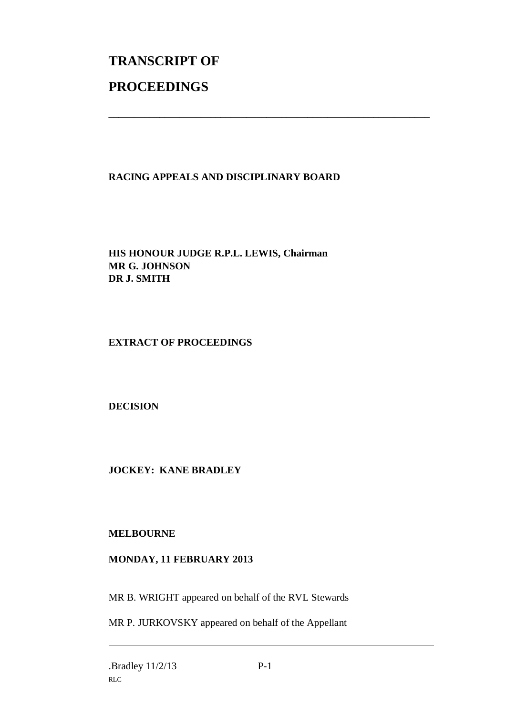# **TRANSCRIPT OF PROCEEDINGS**

## **RACING APPEALS AND DISCIPLINARY BOARD**

\_\_\_\_\_\_\_\_\_\_\_\_\_\_\_\_\_\_\_\_\_\_\_\_\_\_\_\_\_\_\_\_\_\_\_\_\_\_\_\_\_\_\_\_\_\_\_\_\_\_\_\_\_\_\_\_\_\_\_\_\_\_\_

**HIS HONOUR JUDGE R.P.L. LEWIS, Chairman MR G. JOHNSON DR J. SMITH**

#### **EXTRACT OF PROCEEDINGS**

**DECISION**

### **JOCKEY: KANE BRADLEY**

#### **MELBOURNE**

#### **MONDAY, 11 FEBRUARY 2013**

MR B. WRIGHT appeared on behalf of the RVL Stewards

MR P. JURKOVSKY appeared on behalf of the Appellant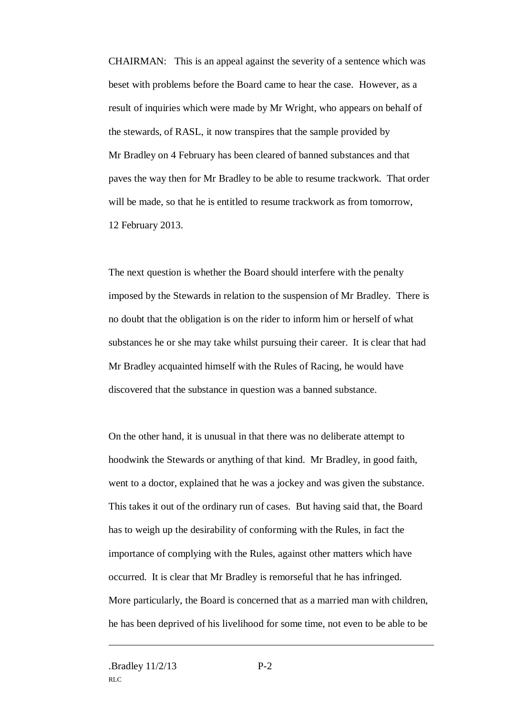CHAIRMAN: This is an appeal against the severity of a sentence which was beset with problems before the Board came to hear the case. However, as a result of inquiries which were made by Mr Wright, who appears on behalf of the stewards, of RASL, it now transpires that the sample provided by Mr Bradley on 4 February has been cleared of banned substances and that paves the way then for Mr Bradley to be able to resume trackwork. That order will be made, so that he is entitled to resume trackwork as from tomorrow. 12 February 2013.

The next question is whether the Board should interfere with the penalty imposed by the Stewards in relation to the suspension of Mr Bradley. There is no doubt that the obligation is on the rider to inform him or herself of what substances he or she may take whilst pursuing their career. It is clear that had Mr Bradley acquainted himself with the Rules of Racing, he would have discovered that the substance in question was a banned substance.

On the other hand, it is unusual in that there was no deliberate attempt to hoodwink the Stewards or anything of that kind. Mr Bradley, in good faith, went to a doctor, explained that he was a jockey and was given the substance. This takes it out of the ordinary run of cases. But having said that, the Board has to weigh up the desirability of conforming with the Rules, in fact the importance of complying with the Rules, against other matters which have occurred. It is clear that Mr Bradley is remorseful that he has infringed. More particularly, the Board is concerned that as a married man with children, he has been deprived of his livelihood for some time, not even to be able to be